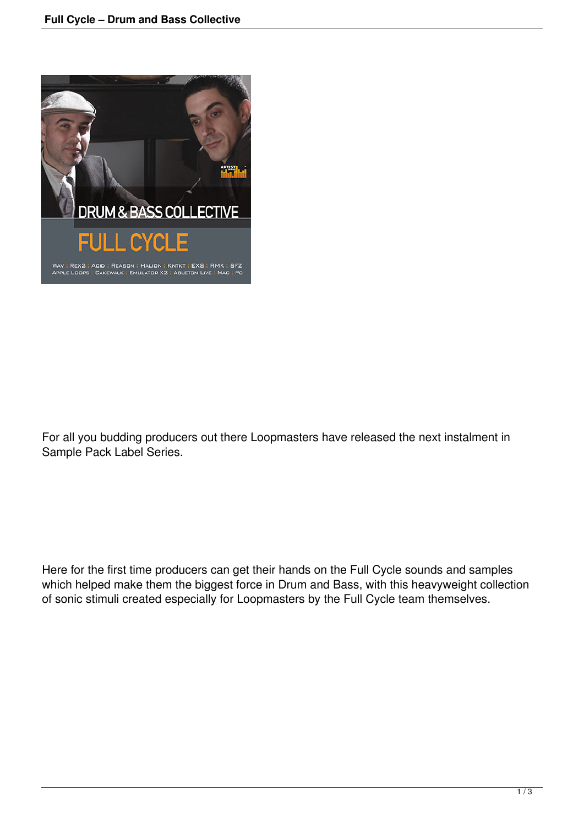

For all you budding producers out there Loopmasters have released the next instalment in Sample Pack Label Series.

Here for the first time producers can get their hands on the Full Cycle sounds and samples which helped make them the biggest force in Drum and Bass, with this heavyweight collection of sonic stimuli created especially for Loopmasters by the Full Cycle team themselves.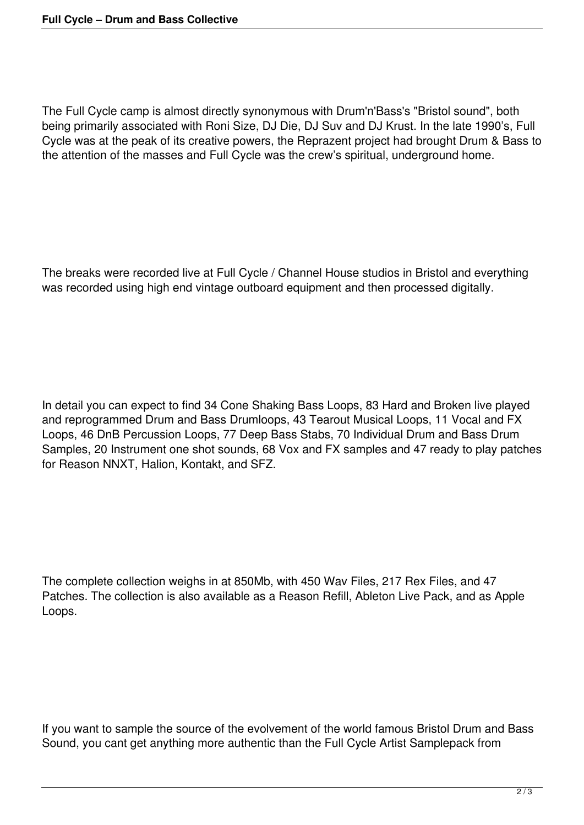The Full Cycle camp is almost directly synonymous with Drum'n'Bass's "Bristol sound", both being primarily associated with Roni Size, DJ Die, DJ Suv and DJ Krust. In the late 1990's, Full Cycle was at the peak of its creative powers, the Reprazent project had brought Drum & Bass to the attention of the masses and Full Cycle was the crew's spiritual, underground home.

The breaks were recorded live at Full Cycle / Channel House studios in Bristol and everything was recorded using high end vintage outboard equipment and then processed digitally.

In detail you can expect to find 34 Cone Shaking Bass Loops, 83 Hard and Broken live played and reprogrammed Drum and Bass Drumloops, 43 Tearout Musical Loops, 11 Vocal and FX Loops, 46 DnB Percussion Loops, 77 Deep Bass Stabs, 70 Individual Drum and Bass Drum Samples, 20 Instrument one shot sounds, 68 Vox and FX samples and 47 ready to play patches for Reason NNXT, Halion, Kontakt, and SFZ.

The complete collection weighs in at 850Mb, with 450 Wav Files, 217 Rex Files, and 47 Patches. The collection is also available as a Reason Refill, Ableton Live Pack, and as Apple Loops.

If you want to sample the source of the evolvement of the world famous Bristol Drum and Bass Sound, you cant get anything more authentic than the Full Cycle Artist Samplepack from